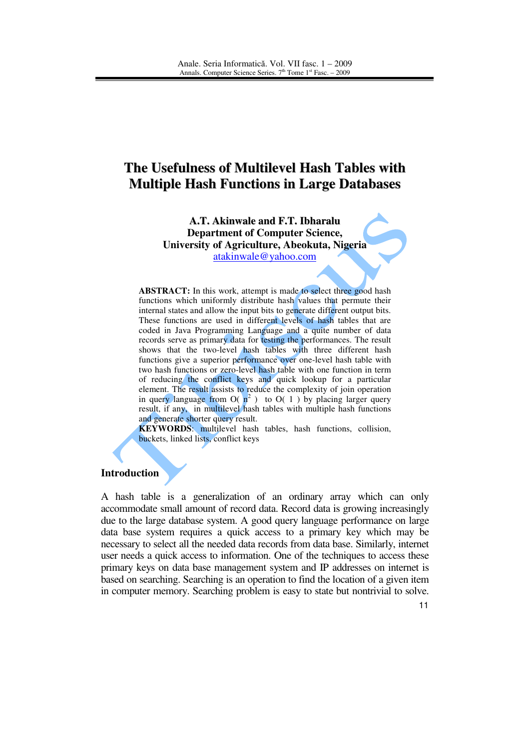# **The Usefulness of Multilevel Hash Tables with Multiple Hash Functions in Large Databases**

**A.T. Akinwale and F.T. Ibharalu Department of Computer Science, University of Agriculture, Abeokuta, Nigeria**  atakinwale@yahoo.com

**ABSTRACT:** In this work, attempt is made to select three good hash functions which uniformly distribute hash values that permute their internal states and allow the input bits to generate different output bits. These functions are used in different levels of hash tables that are coded in Java Programming Language and a quite number of data records serve as primary data for testing the performances. The result shows that the two-level hash tables with three different hash functions give a superior performance over one-level hash table with two hash functions or zero-level hash table with one function in term of reducing the conflict keys and quick lookup for a particular element. The result assists to reduce the complexity of join operation in query language from  $O(n^2)$  to  $O(1)$  by placing larger query result, if any, in multilevel hash tables with multiple hash functions and generate shorter query result.

**KEYWORDS**: multilevel hash tables, hash functions, collision, buckets, linked lists, conflict keys

## **Introduction**

A hash table is a generalization of an ordinary array which can only accommodate small amount of record data. Record data is growing increasingly due to the large database system. A good query language performance on large data base system requires a quick access to a primary key which may be necessary to select all the needed data records from data base. Similarly, internet user needs a quick access to information. One of the techniques to access these primary keys on data base management system and IP addresses on internet is based on searching. Searching is an operation to find the location of a given item in computer memory. Searching problem is easy to state but nontrivial to solve.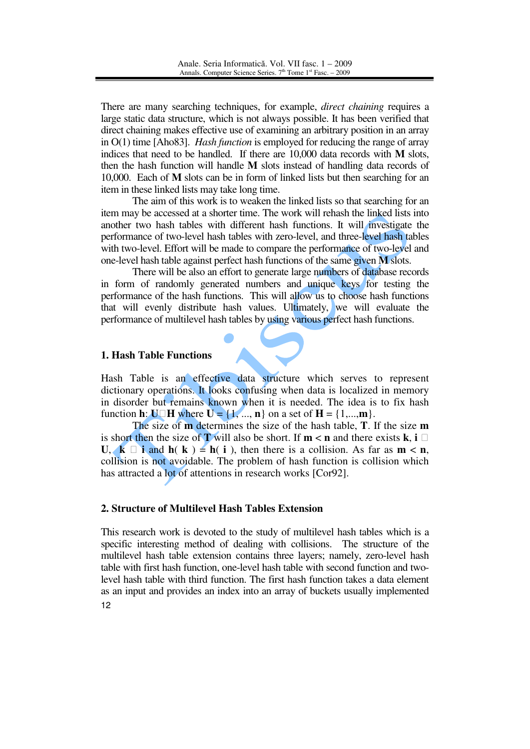There are many searching techniques, for example, *direct chaining* requires a large static data structure, which is not always possible. It has been verified that direct chaining makes effective use of examining an arbitrary position in an array in O(1) time [Aho83]. *Hash function* is employed for reducing the range of array indices that need to be handled. If there are 10,000 data records with **M** slots, then the hash function will handle **M** slots instead of handling data records of 10,000. Each of **M** slots can be in form of linked lists but then searching for an item in these linked lists may take long time.

The aim of this work is to weaken the linked lists so that searching for an item may be accessed at a shorter time. The work will rehash the linked lists into another two hash tables with different hash functions. It will investigate the performance of two-level hash tables with zero-level, and three-level hash tables with two-level. Effort will be made to compare the performance of two-level and one-level hash table against perfect hash functions of the same given **M** slots.

There will be also an effort to generate large numbers of database records in form of randomly generated numbers and unique keys for testing the performance of the hash functions. This will allow us to choose hash functions that will evenly distribute hash values. Ultimately, we will evaluate the performance of multilevel hash tables by using various perfect hash functions.

## **1. Hash Table Functions**

Hash Table is an effective data structure which serves to represent dictionary operations. It looks confusing when data is localized in memory in disorder but remains known when it is needed. The idea is to fix hash function **h**:  $U \Box H$  where  $U = \{1, ..., n\}$  on a set of  $H = \{1, ..., m\}$ .

The size of **m** determines the size of the hash table, **T**. If the size **m** is short then the size of **T** will also be short. If  $m < n$  and there exists **k**, **i**  $\Box$ **U**,  $\mathbf{k} \square \mathbf{i}$  and  $\mathbf{h}(\mathbf{k}) = \mathbf{h}(\mathbf{i})$ , then there is a collision. As far as  $\mathbf{m} < \mathbf{n}$ , collision is not avoidable. The problem of hash function is collision which has attracted a lot of attentions in research works [Cor92].

### **2. Structure of Multilevel Hash Tables Extension**

12 This research work is devoted to the study of multilevel hash tables which is a specific interesting method of dealing with collisions. The structure of the multilevel hash table extension contains three layers; namely, zero-level hash table with first hash function, one-level hash table with second function and twolevel hash table with third function. The first hash function takes a data element as an input and provides an index into an array of buckets usually implemented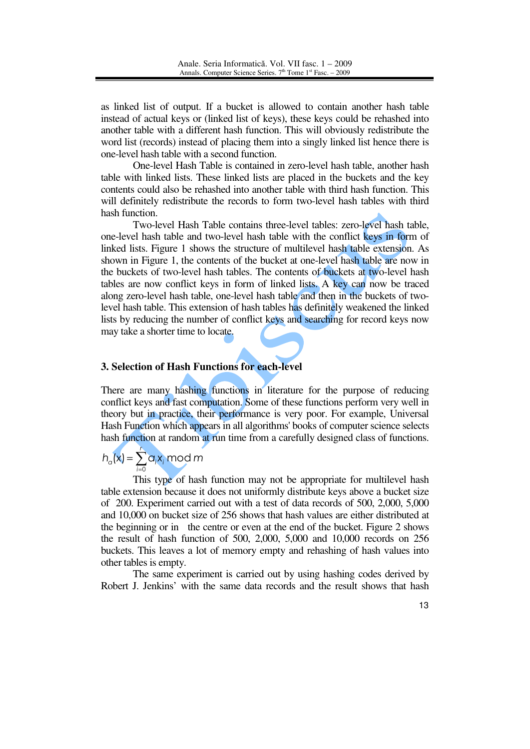as linked list of output. If a bucket is allowed to contain another hash table instead of actual keys or (linked list of keys), these keys could be rehashed into another table with a different hash function. This will obviously redistribute the word list (records) instead of placing them into a singly linked list hence there is one-level hash table with a second function.

 One-level Hash Table is contained in zero-level hash table, another hash table with linked lists. These linked lists are placed in the buckets and the key contents could also be rehashed into another table with third hash function. This will definitely redistribute the records to form two-level hash tables with third hash function.

 Two-level Hash Table contains three-level tables: zero-level hash table, one-level hash table and two-level hash table with the conflict keys in form of linked lists. Figure 1 shows the structure of multilevel hash table extension. As shown in Figure 1, the contents of the bucket at one-level hash table are now in the buckets of two-level hash tables. The contents of buckets at two-level hash tables are now conflict keys in form of linked lists. A key can now be traced along zero-level hash table, one-level hash table and then in the buckets of twolevel hash table. This extension of hash tables has definitely weakened the linked lists by reducing the number of conflict keys and searching for record keys now may take a shorter time to locate.

## **3. Selection of Hash Functions for each-level**

There are many hashing functions in literature for the purpose of reducing conflict keys and fast computation. Some of these functions perform very well in theory but in practice, their performance is very poor. For example, Universal Hash Function which appears in all algorithms' books of computer science selects hash function at random at run time from a carefully designed class of functions.

$$
h_{\alpha}(\mathbf{x}) = \sum_{i=0}^{r} a_{i}x_{i} \mod m
$$

 This type of hash function may not be appropriate for multilevel hash table extension because it does not uniformly distribute keys above a bucket size of 200. Experiment carried out with a test of data records of 500, 2,000, 5,000 and 10,000 on bucket size of 256 shows that hash values are either distributed at the beginning or in the centre or even at the end of the bucket. Figure 2 shows the result of hash function of 500, 2,000, 5,000 and 10,000 records on 256 buckets. This leaves a lot of memory empty and rehashing of hash values into other tables is empty.

 The same experiment is carried out by using hashing codes derived by Robert J. Jenkins' with the same data records and the result shows that hash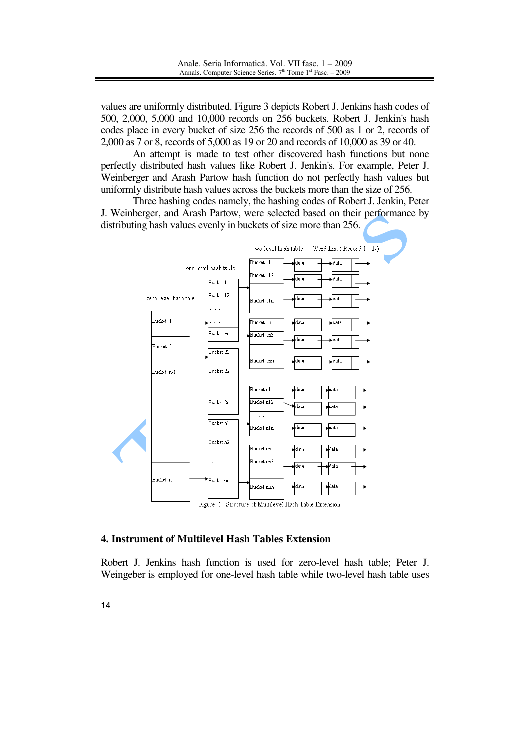values are uniformly distributed. Figure 3 depicts Robert J. Jenkins hash codes of 500, 2,000, 5,000 and 10,000 records on 256 buckets. Robert J. Jenkin's hash codes place in every bucket of size 256 the records of 500 as 1 or 2, records of 2,000 as 7 or 8, records of 5,000 as 19 or 20 and records of 10,000 as 39 or 40.

 An attempt is made to test other discovered hash functions but none perfectly distributed hash values like Robert J. Jenkin's. For example, Peter J. Weinberger and Arash Partow hash function do not perfectly hash values but uniformly distribute hash values across the buckets more than the size of 256.

 Three hashing codes namely, the hashing codes of Robert J. Jenkin, Peter J. Weinberger, and Arash Partow, were selected based on their performance by distributing hash values evenly in buckets of size more than 256.



### **4. Instrument of Multilevel Hash Tables Extension**

Robert J. Jenkins hash function is used for zero-level hash table; Peter J. Weingeber is employed for one-level hash table while two-level hash table uses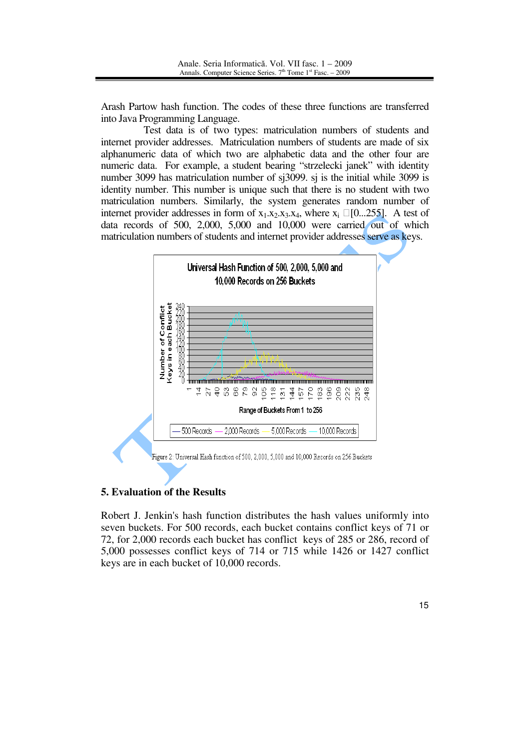Arash Partow hash function. The codes of these three functions are transferred into Java Programming Language.

 Test data is of two types: matriculation numbers of students and internet provider addresses. Matriculation numbers of students are made of six alphanumeric data of which two are alphabetic data and the other four are numeric data. For example, a student bearing "strzelecki janek" with identity number 3099 has matriculation number of sj3099. sj is the initial while 3099 is identity number. This number is unique such that there is no student with two matriculation numbers. Similarly, the system generates random number of internet provider addresses in form of  $x_1.x_2.x_3.x_4$ , where  $x_i \Box [0...255]$ . A test of data records of 500, 2,000, 5,000 and 10,000 were carried out of which matriculation numbers of students and internet provider addresses serve as keys.



## **5. Evaluation of the Results**

Robert J. Jenkin's hash function distributes the hash values uniformly into seven buckets. For 500 records, each bucket contains conflict keys of 71 or 72, for 2,000 records each bucket has conflict keys of 285 or 286, record of 5,000 possesses conflict keys of 714 or 715 while 1426 or 1427 conflict keys are in each bucket of 10,000 records.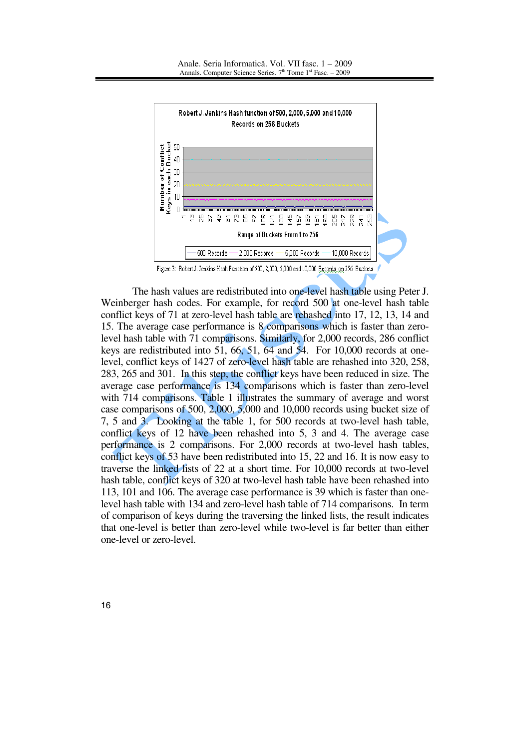

 The hash values are redistributed into one-level hash table using Peter J. Weinberger hash codes. For example, for record 500 at one-level hash table conflict keys of 71 at zero-level hash table are rehashed into 17, 12, 13, 14 and 15. The average case performance is 8 comparisons which is faster than zerolevel hash table with 71 comparisons. Similarly, for 2,000 records, 286 conflict keys are redistributed into 51, 66, 51, 64 and 54. For 10,000 records at onelevel, conflict keys of 1427 of zero-level hash table are rehashed into 320, 258, 283, 265 and 301. In this step, the conflict keys have been reduced in size. The average case performance is 134 comparisons which is faster than zero-level with 714 comparisons. Table 1 illustrates the summary of average and worst case comparisons of 500, 2,000, 5,000 and 10,000 records using bucket size of 7, 5 and 3. Looking at the table 1, for 500 records at two-level hash table, conflict keys of 12 have been rehashed into 5, 3 and 4. The average case performance is 2 comparisons. For 2,000 records at two-level hash tables, conflict keys of 53 have been redistributed into 15, 22 and 16. It is now easy to traverse the linked lists of 22 at a short time. For 10,000 records at two-level hash table, conflict keys of 320 at two-level hash table have been rehashed into 113, 101 and 106. The average case performance is 39 which is faster than onelevel hash table with 134 and zero-level hash table of 714 comparisons. In term of comparison of keys during the traversing the linked lists, the result indicates that one-level is better than zero-level while two-level is far better than either one-level or zero-level.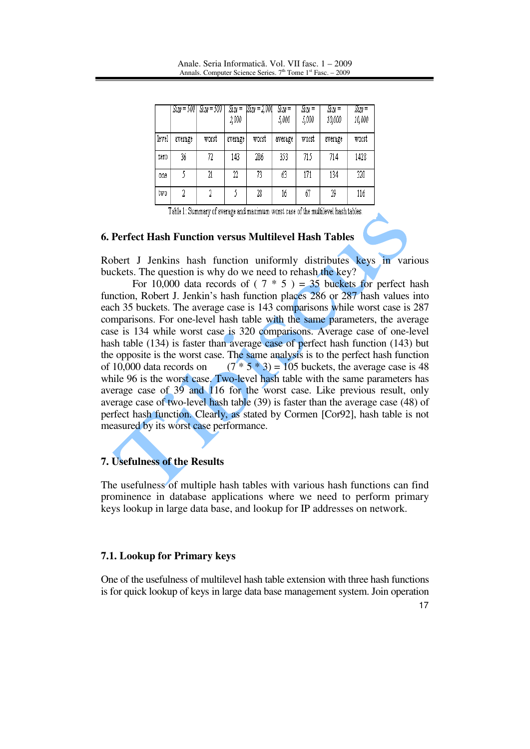| Anale. Seria Informatică. Vol. VII fasc. 1 – 2009                        |
|--------------------------------------------------------------------------|
| Annals. Computer Science Series. $7th$ Tome 1 <sup>st</sup> Fasc. – 2009 |

|       |         | Size = 500   Size = 500 | Size =<br>2,000 | Size = 2,000 | Size =<br>5,000 | Size =<br>5,000 | $Size =$<br>10,000 | Size =<br>10,000 |
|-------|---------|-------------------------|-----------------|--------------|-----------------|-----------------|--------------------|------------------|
| level | average | worst                   | average         | worst        | average         | worst           | average            | worst            |
| Zero  | 36      | 72                      | 143             | 286          | 353             | 715             | 714                | 1428             |
| one   |         | 21                      | 22              | 73           | 63              | 171             | 134                | 320              |
| two   | 2       | 2                       |                 | 28           | 16              | 67              | 39                 | 116              |

Table 1: Summary of average and maximum worst case of the multilevel hash tables.

#### **6. Perfect Hash Function versus Multilevel Hash Tables**

Robert J Jenkins hash function uniformly distributes keys in various buckets. The question is why do we need to rehash the key?

For 10,000 data records of (  $7 * 5$  ) = 35 buckets for perfect hash function, Robert J. Jenkin's hash function places 286 or 287 hash values into each 35 buckets. The average case is 143 comparisons while worst case is 287 comparisons. For one-level hash table with the same parameters, the average case is 134 while worst case is 320 comparisons. Average case of one-level hash table (134) is faster than average case of perfect hash function (143) but the opposite is the worst case. The same analysis is to the perfect hash function of 10,000 data records on  $(7 * 5 * 3) = 105$  buckets, the average case is 48 while 96 is the worst case. Two-level hash table with the same parameters has average case of 39 and 116 for the worst case. Like previous result, only average case of two-level hash table (39) is faster than the average case (48) of perfect hash function. Clearly, as stated by Cormen [Cor92], hash table is not measured by its worst case performance.

#### **7. Usefulness of the Results**

The usefulness of multiple hash tables with various hash functions can find prominence in database applications where we need to perform primary keys lookup in large data base, and lookup for IP addresses on network.

## **7.1. Lookup for Primary keys**

One of the usefulness of multilevel hash table extension with three hash functions is for quick lookup of keys in large data base management system. Join operation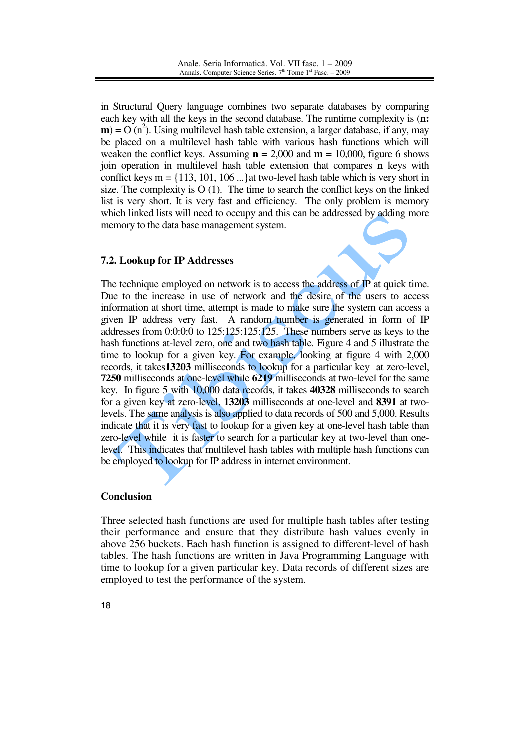in Structural Query language combines two separate databases by comparing each key with all the keys in the second database. The runtime complexity is (**n: ) =**  $O(n^2)$ **. Using multilevel hash table extension, a larger database, if any, may** be placed on a multilevel hash table with various hash functions which will weaken the conflict keys. Assuming  $n = 2,000$  and  $m = 10,000$ , figure 6 shows join operation in multilevel hash table extension that compares **n** keys with conflict keys  $m = \{113, 101, 106 \ldots \}$  at two-level hash table which is very short in size. The complexity is O (1). The time to search the conflict keys on the linked list is very short. It is very fast and efficiency. The only problem is memory which linked lists will need to occupy and this can be addressed by adding more memory to the data base management system.

## **7.2. Lookup for IP Addresses**

The technique employed on network is to access the address of IP at quick time. Due to the increase in use of network and the desire of the users to access information at short time, attempt is made to make sure the system can access a given IP address very fast. A random number is generated in form of IP addresses from 0:0:0:0 to 125:125:125:125. These numbers serve as keys to the hash functions at-level zero, one and two hash table. Figure 4 and 5 illustrate the time to lookup for a given key. For example, looking at figure 4 with 2,000 records, it takes**13203** milliseconds to lookup for a particular key at zero-level, **7250** milliseconds at one-level while **6219** milliseconds at two-level for the same key. In figure 5 with 10,000 data records, it takes **40328** milliseconds to search for a given key at zero-level, **13203** milliseconds at one-level and **8391** at twolevels. The same analysis is also applied to data records of 500 and 5,000. Results indicate that it is very fast to lookup for a given key at one-level hash table than zero-level while it is faster to search for a particular key at two-level than onelevel. This indicates that multilevel hash tables with multiple hash functions can be employed to lookup for IP address in internet environment.

## **Conclusion**

Three selected hash functions are used for multiple hash tables after testing their performance and ensure that they distribute hash values evenly in above 256 buckets. Each hash function is assigned to different-level of hash tables. The hash functions are written in Java Programming Language with time to lookup for a given particular key. Data records of different sizes are employed to test the performance of the system.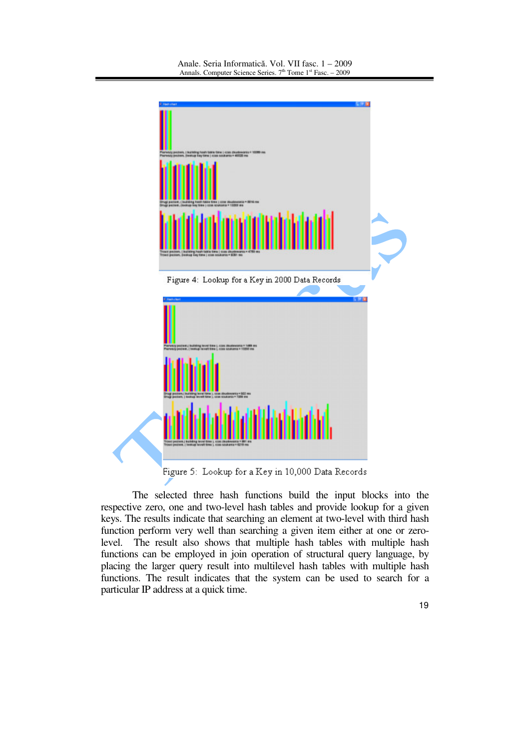

Figure 5: Lookup for a Key in 10,000 Data Records

 The selected three hash functions build the input blocks into the respective zero, one and two-level hash tables and provide lookup for a given keys. The results indicate that searching an element at two-level with third hash function perform very well than searching a given item either at one or zerolevel. The result also shows that multiple hash tables with multiple hash functions can be employed in join operation of structural query language, by placing the larger query result into multilevel hash tables with multiple hash functions. The result indicates that the system can be used to search for a particular IP address at a quick time.